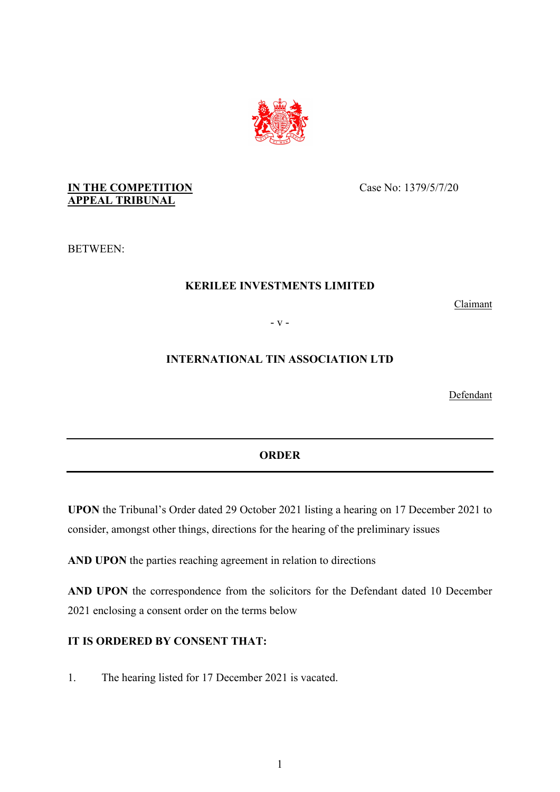

## **IN THE COMPETITION APPEAL TRIBUNAL**

Case No: 1379/5/7/20

BETWEEN:

# **KERILEE INVESTMENTS LIMITED**

Claimant

- v -

## **INTERNATIONAL TIN ASSOCIATION LTD**

Defendant

#### **ORDER**

**UPON** the Tribunal's Order dated 29 October 2021 listing a hearing on 17 December 2021 to consider, amongst other things, directions for the hearing of the preliminary issues

**AND UPON** the parties reaching agreement in relation to directions

**AND UPON** the correspondence from the solicitors for the Defendant dated 10 December 2021 enclosing a consent order on the terms below

#### **IT IS ORDERED BY CONSENT THAT:**

1. The hearing listed for 17 December 2021 is vacated.